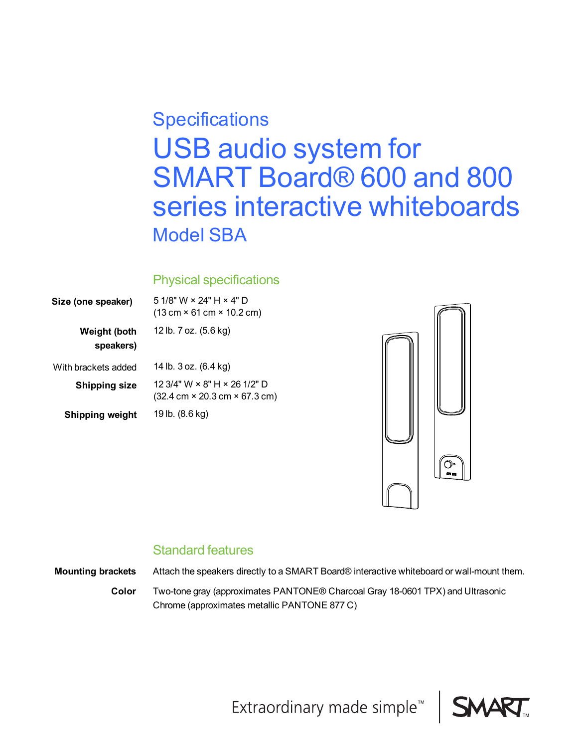# USB audio system for SMART Board® 600 and 800 series interactive whiteboards Model SBA **Specifications**

## Physical specifications

| Size (one speaker)        | 5 1/8" W $\times$ 24" H $\times$ 4" D<br>$(13 \text{ cm} \times 61 \text{ cm} \times 10.2 \text{ cm})$          |
|---------------------------|-----------------------------------------------------------------------------------------------------------------|
| Weight (both<br>speakers) | 12 lb. 7 oz. (5.6 kg)                                                                                           |
| With brackets added       | 14 lb. 3 oz. (6.4 kg)                                                                                           |
| <b>Shipping size</b>      | 12 3/4" W $\times$ 8" H $\times$ 26 1/2" D<br>$(32.4 \text{ cm} \times 20.3 \text{ cm} \times 67.3 \text{ cm})$ |
| Shipping weight           | 19 lb. (8.6 kg)                                                                                                 |



## Standard features

**Mounting brackets** Attach the speakers directly to a SMART Board® interactive whiteboard or wall-mount them.

**Color** Two-tone gray (approximates PANTONE® Charcoal Gray 18-0601 TPX) and Ultrasonic Chrome (approximates metallic PANTONE 877 C)



Extraordinary made simple<sup>™</sup>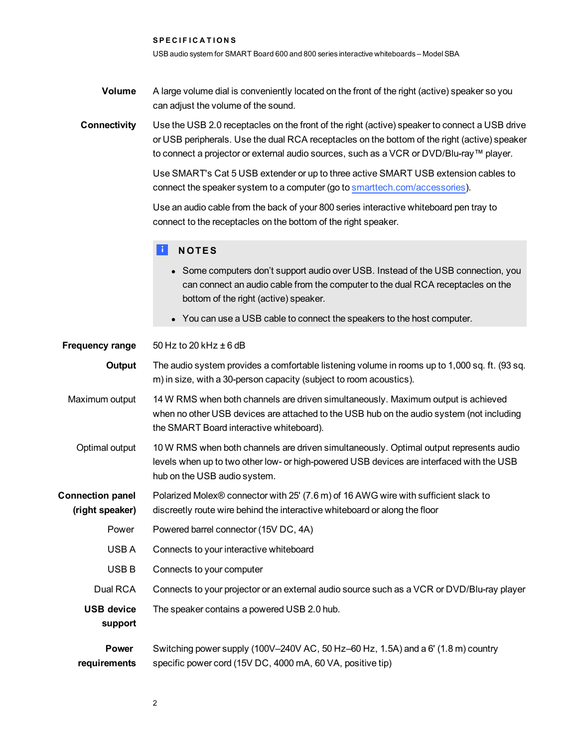SPECIFICATIONS

USB audio system for SMART Board 600 and 800 series interactive whiteboards – ModelSBA

**Volume** A large volume dial is conveniently located on the front of the right (active) speaker so you can adjust the volume of the sound.

**Connectivity** Use the USB 2.0 receptacles on the front of the right (active) speaker to connect a USB drive or USB peripherals. Use the dual RCA receptacles on the bottom of the right (active) speaker to connect a projector or external audio sources, such as a VCR or DVD/Blu-ray™ player.

> Use SMART's Cat 5 USB extender or up to three active SMART USB extension cables to connect the speaker system to a computer (go to [smarttech.com/accessories\)](http://www.smarttech.com/accessories).

Use an audio cable from the back of your 800 series interactive whiteboard pen tray to connect to the receptacles on the bottom of the right speaker.

#### **E** NOTES

- Some computers don't support audio over USB. Instead of the USB connection, you can connect an audio cable from the computer to the dual RCA receptacles on the bottom of the right (active) speaker.
- You can use a USB cable to connect the speakers to the host computer.

| <b>Frequency range</b>                     | 50 Hz to 20 kHz $\pm$ 6 dB                                                                                                                                                                                                |
|--------------------------------------------|---------------------------------------------------------------------------------------------------------------------------------------------------------------------------------------------------------------------------|
| Output                                     | The audio system provides a comfortable listening volume in rooms up to 1,000 sq. ft. (93 sq.<br>m) in size, with a 30-person capacity (subject to room acoustics).                                                       |
| Maximum output                             | 14 W RMS when both channels are driven simultaneously. Maximum output is achieved<br>when no other USB devices are attached to the USB hub on the audio system (not including<br>the SMART Board interactive whiteboard). |
| Optimal output                             | 10 W RMS when both channels are driven simultaneously. Optimal output represents audio<br>levels when up to two other low- or high-powered USB devices are interfaced with the USB<br>hub on the USB audio system.        |
| <b>Connection panel</b><br>(right speaker) | Polarized Molex® connector with 25' (7.6 m) of 16 AWG wire with sufficient slack to<br>discreetly route wire behind the interactive whiteboard or along the floor                                                         |
| Power                                      | Powered barrel connector (15V DC, 4A)                                                                                                                                                                                     |
| USB A                                      | Connects to your interactive whiteboard                                                                                                                                                                                   |
| USB <sub>B</sub>                           | Connects to your computer                                                                                                                                                                                                 |
| Dual RCA                                   | Connects to your projector or an external audio source such as a VCR or DVD/Blu-ray player                                                                                                                                |
| <b>USB device</b><br>support               | The speaker contains a powered USB 2.0 hub.                                                                                                                                                                               |
| <b>Power</b><br>requirements               | Switching power supply (100V-240V AC, 50 Hz-60 Hz, 1.5A) and a 6' (1.8 m) country<br>specific power cord (15V DC, 4000 mA, 60 VA, positive tip)                                                                           |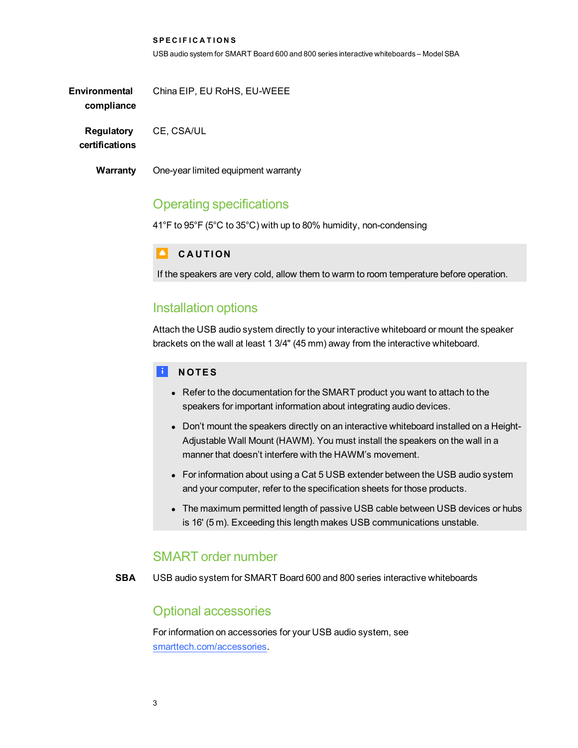**SPECIFICATIONS** USB audio system for SMART Board 600 and 800 series interactive whiteboards – ModelSBA

**Environmental compliance** China EIP, EU RoHS, EU-WEEE

**Regulatory** CE, CSA/UL

**certifications**

**Warranty** One-year limited equipment warranty

## Operating specifications

41°F to 95°F (5°C to 35°C) with up to 80% humidity, non-condensing

#### **CAUTION**

If the speakers are very cold, allow them to warm to room temperature before operation.

## Installation options

Attach the USB audio system directly to your interactive whiteboard or mount the speaker brackets on the wall at least 1 3/4" (45 mm) away from the interactive whiteboard.

#### **E** NOTES

- Refer to the documentation for the SMART product you want to attach to the speakers for important information about integrating audio devices.
- Don't mount the speakers directly on an interactive whiteboard installed on a Height-Adjustable Wall Mount (HAWM). You must install the speakers on the wall in a manner that doesn't interfere with the HAWM's movement.
- For information about using a Cat 5 USB extender between the USB audio system and your computer, refer to the specification sheets for those products.
- The maximum permitted length of passive USB cable between USB devices or hubs is 16' (5 m). Exceeding this length makes USB communications unstable.

#### SMART order number

**SBA** USB audio system for SMART Board 600 and 800 series interactive whiteboards

## Optional accessories

For information on accessories for your USB audio system, see [smarttech.com/accessories.](http://smarttech.com/accessories)